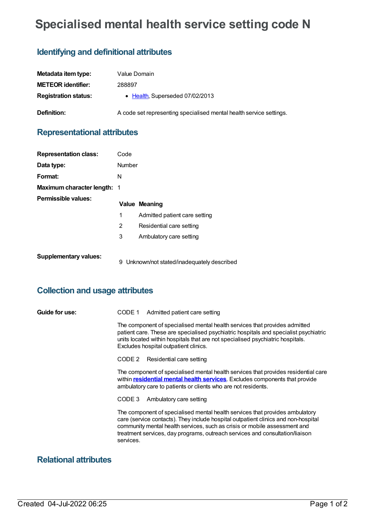# **Specialised mental health service setting code N**

## **Identifying and definitional attributes**

| Metadata item type:         | Value Domain                                                        |
|-----------------------------|---------------------------------------------------------------------|
| <b>METEOR identifier:</b>   | 288897                                                              |
| <b>Registration status:</b> | • Health, Superseded 07/02/2013                                     |
| Definition:                 | A code set representing specialised mental health service settings. |

### **Representational attributes**

| <b>Representation class:</b>       | Code   |                                           |  |
|------------------------------------|--------|-------------------------------------------|--|
| Data type:                         | Number |                                           |  |
| Format:                            | N      |                                           |  |
| <b>Maximum character length: 1</b> |        |                                           |  |
| <b>Permissible values:</b>         |        | <b>Value Meaning</b>                      |  |
|                                    | 1      | Admitted patient care setting             |  |
|                                    | 2      | Residential care setting                  |  |
|                                    | 3      | Ambulatory care setting                   |  |
| <b>Supplementary values:</b>       | 9      | Unknown/not stated/inadequately described |  |

#### **Collection and usage attributes**

| Guide for use: | CODE 1 | Admitted patient care setting |
|----------------|--------|-------------------------------|
|----------------|--------|-------------------------------|

The component of specialised mental health services that provides admitted patient care. These are specialised psychiatric hospitals and specialist psychiatric units located within hospitals that are not specialised psychiatric hospitals. Excludes hospital outpatient clinics.

CODE 2 Residential care setting

The component of specialised mental health services that provides residential care within **[residential](https://meteor.aihw.gov.au/content/373049) mental health services**. Excludes components that provide ambulatory care to patients or clients who are not residents.

CODE 3 Ambulatory care setting

The component of specialised mental health services that provides ambulatory care (service contacts). They include hospital outpatient clinics and non-hospital community mental health services, such as crisis or mobile assessment and treatment services, day programs, outreach services and consultation/liaison services.

#### **Relational attributes**